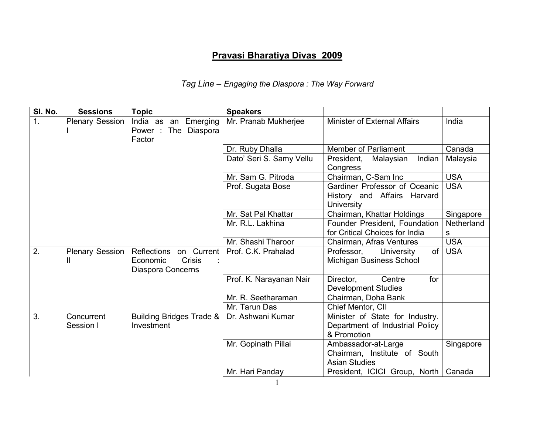## Pravasi Bharatiya Divas 2009

## Tag Line – Engaging the Diaspora : The Way Forward

| SI. No.          | <b>Sessions</b>             | <b>Topic</b>                                                      | <b>Speakers</b>          |                                                                                   |            |
|------------------|-----------------------------|-------------------------------------------------------------------|--------------------------|-----------------------------------------------------------------------------------|------------|
| $\overline{1}$ . | <b>Plenary Session</b>      | India as an Emerging<br>Power : The Diaspora<br>Factor            | Mr. Pranab Mukherjee     | <b>Minister of External Affairs</b>                                               | India      |
|                  |                             |                                                                   | Dr. Ruby Dhalla          | <b>Member of Parliament</b>                                                       | Canada     |
|                  |                             |                                                                   | Dato' Seri S. Samy Vellu | President,<br>Malaysian<br>Indian<br>Congress                                     | Malaysia   |
|                  |                             |                                                                   | Mr. Sam G. Pitroda       | Chairman, C-Sam Inc                                                               | <b>USA</b> |
|                  |                             |                                                                   | Prof. Sugata Bose        | Gardiner Professor of Oceanic<br>History and Affairs Harvard<br><b>University</b> | <b>USA</b> |
|                  |                             |                                                                   | Mr. Sat Pal Khattar      | Chairman, Khattar Holdings                                                        | Singapore  |
|                  |                             |                                                                   | Mr. R.L. Lakhina         | Founder President, Foundation                                                     | Netherland |
|                  |                             |                                                                   |                          | for Critical Choices for India                                                    | s          |
|                  |                             |                                                                   | Mr. Shashi Tharoor       | Chairman, Afras Ventures                                                          | <b>USA</b> |
| 2.               | <b>Plenary Session</b><br>Ш | Reflections on Current<br>Economic<br>Crisis<br>Diaspora Concerns | Prof. C.K. Prahalad      | of<br>Professor,<br>University<br>Michigan Business School                        | <b>USA</b> |
|                  |                             |                                                                   | Prof. K. Narayanan Nair  | Director,<br>Centre<br>for<br><b>Development Studies</b>                          |            |
|                  |                             |                                                                   | Mr. R. Seetharaman       | Chairman, Doha Bank                                                               |            |
|                  |                             |                                                                   | Mr. Tarun Das            | Chief Mentor, CII                                                                 |            |
| 3.               | Concurrent<br>Session I     | <b>Building Bridges Trade &amp;</b><br>Investment                 | Dr. Ashwani Kumar        | Minister of State for Industry.<br>Department of Industrial Policy<br>& Promotion |            |
|                  |                             |                                                                   | Mr. Gopinath Pillai      | Ambassador-at-Large<br>Chairman, Institute of South<br><b>Asian Studies</b>       | Singapore  |
|                  |                             |                                                                   | Mr. Hari Panday          | President, ICICI Group, North                                                     | Canada     |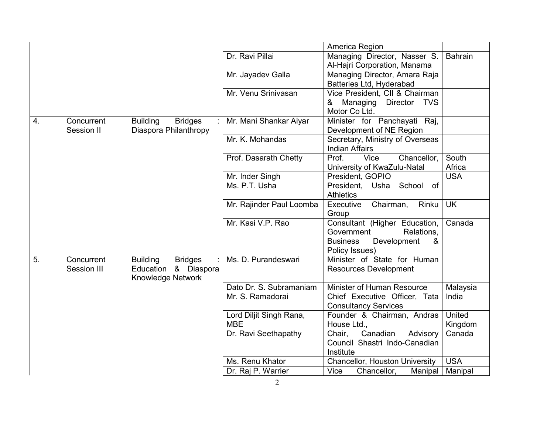|                  |             |                                   |                          | America Region                      |                |
|------------------|-------------|-----------------------------------|--------------------------|-------------------------------------|----------------|
|                  |             |                                   | Dr. Ravi Pillai          | Managing Director, Nasser S.        | <b>Bahrain</b> |
|                  |             |                                   |                          | Al-Hajri Corporation, Manama        |                |
|                  |             |                                   | Mr. Jayadev Galla        | Managing Director, Amara Raja       |                |
|                  |             |                                   |                          | Batteries Ltd, Hyderabad            |                |
|                  |             |                                   | Mr. Venu Srinivasan      | Vice President, CII & Chairman      |                |
|                  |             |                                   |                          | Managing<br>Director TVS<br>&       |                |
|                  |             |                                   |                          | Motor Co Ltd.                       |                |
| $\overline{4}$ . | Concurrent  | <b>Building</b><br><b>Bridges</b> | Mr. Mani Shankar Aiyar   | Minister for Panchayati Raj,        |                |
|                  | Session II  | Diaspora Philanthropy             |                          | Development of NE Region            |                |
|                  |             |                                   | Mr. K. Mohandas          | Secretary, Ministry of Overseas     |                |
|                  |             |                                   |                          | <b>Indian Affairs</b>               |                |
|                  |             |                                   | Prof. Dasarath Chetty    | Prof.<br>Vice<br>Chancellor,        | South          |
|                  |             |                                   |                          | University of KwaZulu-Natal         | Africa         |
|                  |             |                                   | Mr. Inder Singh          | President, GOPIO                    | <b>USA</b>     |
|                  |             |                                   | Ms. P.T. Usha            | President, Usha School<br><b>of</b> |                |
|                  |             |                                   |                          | <b>Athletics</b>                    |                |
|                  |             |                                   | Mr. Rajinder Paul Loomba | Executive<br>Chairman,<br>Rinku     | <b>UK</b>      |
|                  |             |                                   |                          | Group                               |                |
|                  |             |                                   | Mr. Kasi V.P. Rao        | Consultant (Higher Education,       | Canada         |
|                  |             |                                   |                          | Government<br>Relations.            |                |
|                  |             |                                   |                          | Development<br>&<br><b>Business</b> |                |
|                  |             |                                   |                          | Policy Issues)                      |                |
| 5.               | Concurrent  | <b>Building</b><br><b>Bridges</b> | Ms. D. Purandeswari      | Minister of State for Human         |                |
|                  | Session III | Education & Diaspora              |                          | <b>Resources Development</b>        |                |
|                  |             | Knowledge Network                 |                          |                                     |                |
|                  |             |                                   | Dato Dr. S. Subramaniam  | Minister of Human Resource          | Malaysia       |
|                  |             |                                   | Mr. S. Ramadorai         | Chief Executive Officer, Tata       | India          |
|                  |             |                                   |                          | <b>Consultancy Services</b>         |                |
|                  |             |                                   | Lord Diljit Singh Rana,  | Founder & Chairman, Andras          | United         |
|                  |             |                                   | <b>MBE</b>               | House Ltd.,                         | Kingdom        |
|                  |             |                                   | Dr. Ravi Seethapathy     | Canadian<br>Chair,<br>Advisory      | Canada         |
|                  |             |                                   |                          | Council Shastri Indo-Canadian       |                |
|                  |             |                                   |                          | Institute                           |                |
|                  |             |                                   | Ms. Renu Khator          | Chancellor, Houston University      | <b>USA</b>     |
|                  |             |                                   | Dr. Raj P. Warrier       | Vice<br>Chancellor,<br>Manipal      | Manipal        |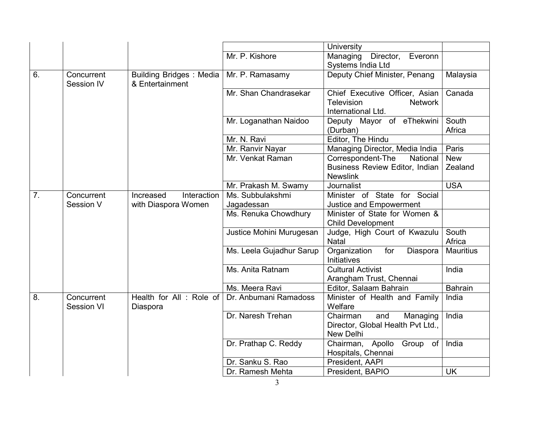|    |                                 |                                                   |                          | University                                                                                  |                  |
|----|---------------------------------|---------------------------------------------------|--------------------------|---------------------------------------------------------------------------------------------|------------------|
|    |                                 |                                                   | Mr. P. Kishore           | Managing<br>Director,<br>Everonn<br>Systems India Ltd                                       |                  |
| 6. | Concurrent<br>Session IV        | <b>Building Bridges: Media</b><br>& Entertainment | Mr. P. Ramasamy          | Deputy Chief Minister, Penang                                                               | Malaysia         |
|    |                                 |                                                   | Mr. Shan Chandrasekar    | Chief Executive Officer, Asian<br><b>Television</b><br><b>Network</b><br>International Ltd. | Canada           |
|    |                                 |                                                   | Mr. Loganathan Naidoo    | Deputy Mayor of eThekwini<br>(Durban)                                                       | South<br>Africa  |
|    |                                 |                                                   | Mr. N. Ravi              | Editor, The Hindu                                                                           |                  |
|    |                                 |                                                   | Mr. Ranvir Nayar         | Managing Director, Media India                                                              | Paris            |
|    |                                 |                                                   | Mr. Venkat Raman         | Correspondent-The<br>National                                                               | <b>New</b>       |
|    |                                 |                                                   |                          | Business Review Editor, Indian<br><b>Newslink</b>                                           | Zealand          |
|    |                                 |                                                   | Mr. Prakash M. Swamy     | Journalist                                                                                  | <b>USA</b>       |
| 7. | Concurrent                      | Interaction<br>Increased                          | Ms. Subbulakshmi         | Minister of State for Social                                                                |                  |
|    | Session V                       | with Diaspora Women                               | Jagadessan               | Justice and Empowerment                                                                     |                  |
|    |                                 |                                                   | Ms. Renuka Chowdhury     | Minister of State for Women &<br><b>Child Development</b>                                   |                  |
|    |                                 |                                                   | Justice Mohini Murugesan | Judge, High Court of Kwazulu<br><b>Natal</b>                                                | South<br>Africa  |
|    |                                 |                                                   | Ms. Leela Gujadhur Sarup | for<br>Organization<br>Diaspora<br>Initiatives                                              | <b>Mauritius</b> |
|    |                                 |                                                   | Ms. Anita Ratnam         | <b>Cultural Activist</b><br>Arangham Trust, Chennai                                         | India            |
|    |                                 |                                                   | Ms. Meera Ravi           | Editor, Salaam Bahrain                                                                      | <b>Bahrain</b>   |
| 8. | Concurrent<br><b>Session VI</b> | Health for All: Role of<br>Diaspora               | Dr. Anbumani Ramadoss    | Minister of Health and Family<br>Welfare                                                    | India            |
|    |                                 |                                                   | Dr. Naresh Trehan        | Chairman<br>and<br>Managing<br>Director, Global Health Pvt Ltd.,<br>New Delhi               | India            |
|    |                                 |                                                   | Dr. Prathap C. Reddy     | Chairman, Apollo<br>Group<br>of<br>Hospitals, Chennai                                       | India            |
|    |                                 |                                                   | Dr. Sanku S. Rao         | President, AAPI                                                                             |                  |
|    |                                 |                                                   | Dr. Ramesh Mehta         | President, BAPIO                                                                            | <b>UK</b>        |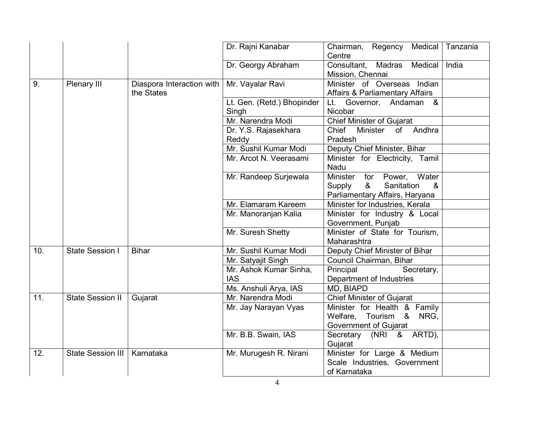|     |                          |                                         | Dr. Rajni Kanabar          | Chairman, Regency Medical<br>Centre                                                              | Tanzania |
|-----|--------------------------|-----------------------------------------|----------------------------|--------------------------------------------------------------------------------------------------|----------|
|     |                          |                                         | Dr. Georgy Abraham         | Consultant,<br>Madras<br>Medical<br>Mission, Chennai                                             | India    |
| 9.  | Plenary III              | Diaspora Interaction with<br>the States | Mr. Vayalar Ravi           | Indian<br>Minister of Overseas<br><b>Affairs &amp; Parliamentary Affairs</b>                     |          |
|     |                          |                                         | Lt. Gen. (Retd.) Bhopinder | Lt. Governor, Andaman &<br>Nicobar                                                               |          |
|     |                          |                                         | Singh<br>Mr. Narendra Modi | <b>Chief Minister of Gujarat</b>                                                                 |          |
|     |                          |                                         | Dr. Y.S. Rajasekhara       | Chief<br>Minister<br>of Andhra                                                                   |          |
|     |                          |                                         | Reddy                      | Pradesh                                                                                          |          |
|     |                          |                                         | Mr. Sushil Kumar Modi      | Deputy Chief Minister, Bihar                                                                     |          |
|     |                          |                                         | Mr. Arcot N. Veerasami     | Minister for Electricity, Tamil<br>Nadu                                                          |          |
|     |                          |                                         | Mr. Randeep Surjewala      | Water<br>Minister for Power,<br>Supply<br>&<br>Sanitation<br>&<br>Parliamentary Affairs, Haryana |          |
|     |                          |                                         | Mr. Elamaram Kareem        | Minister for Industries, Kerala                                                                  |          |
|     |                          |                                         | Mr. Manoranjan Kalia       | Minister for Industry & Local<br>Government, Punjab                                              |          |
|     |                          |                                         | Mr. Suresh Shetty          | Minister of State for Tourism,<br>Maharashtra                                                    |          |
| 10. | <b>State Session I</b>   | <b>Bihar</b>                            | Mr. Sushil Kumar Modi      | Deputy Chief Minister of Bihar                                                                   |          |
|     |                          |                                         | Mr. Satyajit Singh         | Council Chairman, Bihar                                                                          |          |
|     |                          |                                         | Mr. Ashok Kumar Sinha,     | Principal<br>Secretary,                                                                          |          |
|     |                          |                                         | <b>IAS</b>                 | Department of Industries                                                                         |          |
|     |                          |                                         | Ms. Anshuli Arya, IAS      | MD, BIAPD                                                                                        |          |
| 11. | <b>State Session II</b>  | Gujarat                                 | Mr. Narendra Modi          | <b>Chief Minister of Gujarat</b>                                                                 |          |
|     |                          |                                         | Mr. Jay Narayan Vyas       | Minister for Health & Family                                                                     |          |
|     |                          |                                         |                            | Welfare, Tourism & NRG,                                                                          |          |
|     |                          |                                         |                            | Government of Gujarat                                                                            |          |
|     |                          |                                         | Mr. B.B. Swain, IAS        | Secretary (NRI & ARTD),<br>Gujarat                                                               |          |
| 12. | <b>State Session III</b> | Karnataka                               | Mr. Murugesh R. Nirani     | Minister for Large & Medium                                                                      |          |
|     |                          |                                         |                            | Scale Industries, Government<br>of Karnataka                                                     |          |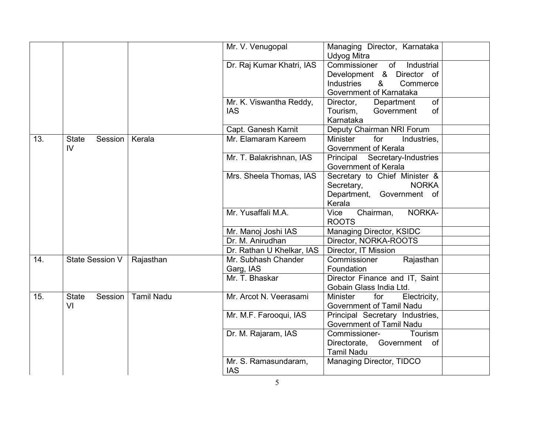|     |                                           |                   | Mr. V. Venugopal                      | Managing Director, Karnataka<br>Udyog Mitra                                                                                    |  |
|-----|-------------------------------------------|-------------------|---------------------------------------|--------------------------------------------------------------------------------------------------------------------------------|--|
|     |                                           |                   | Dr. Raj Kumar Khatri, IAS             | Industrial<br>Commissioner<br>of<br>Development & Director of<br>&<br><b>Industries</b><br>Commerce<br>Government of Karnataka |  |
|     |                                           |                   | Mr. K. Viswantha Reddy,<br><b>IAS</b> | of<br>Director,<br>Department<br>Tourism,<br>Government<br><b>of</b><br>Karnataka                                              |  |
|     |                                           |                   | Capt. Ganesh Karnit                   | Deputy Chairman NRI Forum                                                                                                      |  |
| 13. | <b>State</b><br>Session<br>$\overline{V}$ | Kerala            | Mr. Elamaram Kareem                   | <b>Minister</b><br>for<br>Industries,<br>Government of Kerala                                                                  |  |
|     |                                           |                   | Mr. T. Balakrishnan, IAS              | Principal Secretary-Industries<br>Government of Kerala                                                                         |  |
|     |                                           |                   | Mrs. Sheela Thomas, IAS               | Secretary to Chief Minister &<br><b>NORKA</b><br>Secretary,<br>Department, Government of<br>Kerala                             |  |
|     |                                           |                   | Mr. Yusaffali M.A.                    | NORKA-<br><b>Vice</b><br>Chairman,<br><b>ROOTS</b>                                                                             |  |
|     |                                           |                   | Mr. Manoj Joshi IAS                   | Managing Director, KSIDC                                                                                                       |  |
|     |                                           |                   | Dr. M. Anirudhan                      | Director, NORKA-ROOTS                                                                                                          |  |
|     |                                           |                   | Dr. Rathan U Khelkar, IAS             | Director, IT Mission                                                                                                           |  |
| 14. | State Session V                           | Rajasthan         | Mr. Subhash Chander<br>Garg, IAS      | Commissioner<br>Rajasthan<br>Foundation                                                                                        |  |
|     |                                           |                   | Mr. T. Bhaskar                        | Director Finance and IT, Saint<br>Gobain Glass India Ltd.                                                                      |  |
| 15. | <b>State</b><br>Session<br>VI             | <b>Tamil Nadu</b> | Mr. Arcot N. Veerasami                | for<br>Electricity,<br><b>Minister</b><br>Government of Tamil Nadu                                                             |  |
|     |                                           |                   | Mr. M.F. Farooqui, IAS                | Principal Secretary Industries,<br>Government of Tamil Nadu                                                                    |  |
|     |                                           |                   | Dr. M. Rajaram, IAS                   | Tourism<br>Commissioner-<br>Directorate, Government<br>of<br><b>Tamil Nadu</b>                                                 |  |
|     |                                           |                   | Mr. S. Ramasundaram,<br><b>IAS</b>    | Managing Director, TIDCO                                                                                                       |  |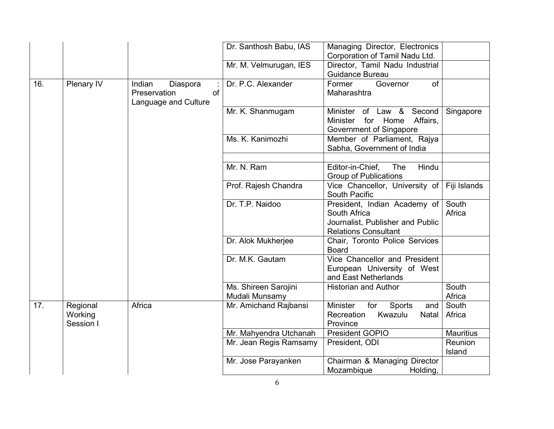|     |                                  |                                                                  | Dr. Santhosh Babu, IAS                 | Managing Director, Electronics<br>Corporation of Tamil Nadu Ltd.                                                |                   |
|-----|----------------------------------|------------------------------------------------------------------|----------------------------------------|-----------------------------------------------------------------------------------------------------------------|-------------------|
|     |                                  |                                                                  | Mr. M. Velmurugan, IES                 | Director, Tamil Nadu Industrial<br>Guidance Bureau                                                              |                   |
| 16. | Plenary IV                       | Indian<br>Diaspora<br>Preservation<br>of<br>Language and Culture | Dr. P.C. Alexander                     | Former<br>Governor<br>of<br>Maharashtra                                                                         |                   |
|     |                                  |                                                                  | Mr. K. Shanmugam                       | Second<br>Minister of Law &<br>for Home<br>Affairs,<br>Minister<br>Government of Singapore                      | Singapore         |
|     |                                  |                                                                  | Ms. K. Kanimozhi                       | Member of Parliament, Rajya<br>Sabha, Government of India                                                       |                   |
|     |                                  |                                                                  | Mr. N. Ram                             | Editor-in-Chief,<br>The<br>Hindu<br><b>Group of Publications</b>                                                |                   |
|     |                                  |                                                                  | Prof. Rajesh Chandra                   | Vice Chancellor, University of<br>South Pacific                                                                 | Fiji Islands      |
|     |                                  |                                                                  | Dr. T.P. Naidoo                        | President, Indian Academy of<br>South Africa<br>Journalist, Publisher and Public<br><b>Relations Consultant</b> | South<br>Africa   |
|     |                                  |                                                                  | Dr. Alok Mukherjee                     | Chair, Toronto Police Services<br><b>Board</b>                                                                  |                   |
|     |                                  |                                                                  | Dr. M.K. Gautam                        | Vice Chancellor and President<br>European University of West<br>and East Netherlands                            |                   |
|     |                                  |                                                                  | Ms. Shireen Sarojini<br>Mudali Munsamy | <b>Historian and Author</b>                                                                                     | South<br>Africa   |
| 17. | Regional<br>Working<br>Session I | Africa                                                           | Mr. Amichand Rajbansi                  | <b>Minister</b><br>for<br>Sports<br>and $ $<br>Kwazulu<br>Recreation<br>Natal<br>Province                       | South<br>Africa   |
|     |                                  |                                                                  | Mr. Mahyendra Utchanah                 | <b>President GOPIO</b>                                                                                          | <b>Mauritius</b>  |
|     |                                  |                                                                  | Mr. Jean Regis Ramsamy                 | President, ODI                                                                                                  | Reunion<br>Island |
|     |                                  |                                                                  | Mr. Jose Parayanken                    | Chairman & Managing Director<br>Mozambique<br>Holding,                                                          |                   |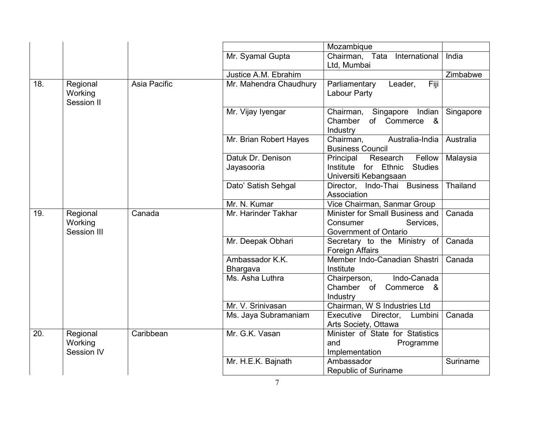|     |                                    |              |                                    | Mozambique                                                                                            |           |
|-----|------------------------------------|--------------|------------------------------------|-------------------------------------------------------------------------------------------------------|-----------|
|     |                                    |              | Mr. Syamal Gupta                   | Chairman, Tata<br>International<br>Ltd, Mumbai                                                        | India     |
|     |                                    |              | Justice A.M. Ebrahim               |                                                                                                       | Zimbabwe  |
| 18. | Regional<br>Working<br>Session II  | Asia Pacific | Mr. Mahendra Chaudhury             | Fiji<br>Parliamentary<br>Leader,<br>Labour Party                                                      |           |
|     |                                    |              | Mr. Vijay Iyengar                  | Chairman,<br>Singapore Indian<br>Chamber<br>of Commerce<br><u>&amp;</u><br>Industry                   | Singapore |
|     |                                    |              | Mr. Brian Robert Hayes             | Australia-India<br>Chairman,<br><b>Business Council</b>                                               | Australia |
|     |                                    |              | Datuk Dr. Denison<br>Jayasooria    | Fellow<br>Principal<br>Research<br>for Ethnic<br>Institute<br><b>Studies</b><br>Universiti Kebangsaan | Malaysia  |
|     |                                    |              | Dato' Satish Sehgal                | Director, Indo-Thai Business<br>Association                                                           | Thailand  |
|     |                                    |              | Mr. N. Kumar                       | Vice Chairman, Sanmar Group                                                                           |           |
| 19. | Regional<br>Working<br>Session III | Canada       | Mr. Harinder Takhar                | Minister for Small Business and<br>Consumer<br>Services,<br>Government of Ontario                     | Canada    |
|     |                                    |              | Mr. Deepak Obhari                  | Secretary to the Ministry of<br><b>Foreign Affairs</b>                                                | Canada    |
|     |                                    |              | Ambassador K.K.<br><b>Bhargava</b> | Member Indo-Canadian Shastri<br>Institute                                                             | Canada    |
|     |                                    |              | Ms. Asha Luthra                    | Indo-Canada<br>Chairperson,<br>Chamber of Commerce<br>- &<br>Industry                                 |           |
|     |                                    |              | Mr. V. Srinivasan                  | Chairman, W S Industries Ltd                                                                          |           |
|     |                                    |              | Ms. Jaya Subramaniam               | Executive<br>Director,<br>Lumbini<br>Arts Society, Ottawa                                             | Canada    |
| 20. | Regional<br>Working<br>Session IV  | Caribbean    | Mr. G.K. Vasan                     | Minister of State for Statistics<br>and<br>Programme<br>Implementation                                |           |
|     |                                    |              | Mr. H.E.K. Bajnath                 | Ambassador<br>Republic of Suriname                                                                    | Suriname  |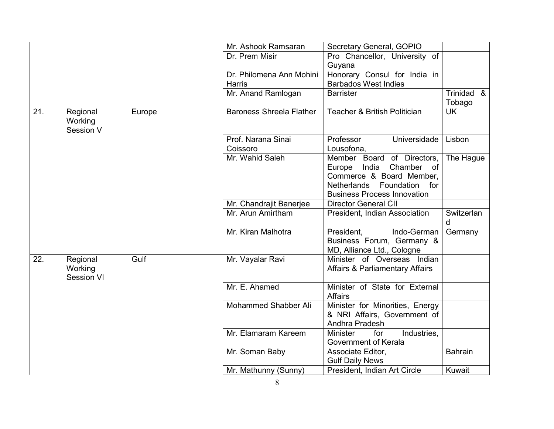|     |                                   |        | Mr. Ashook Ramsaran             | Secretary General, GOPIO                                                                                                                                                    |                      |
|-----|-----------------------------------|--------|---------------------------------|-----------------------------------------------------------------------------------------------------------------------------------------------------------------------------|----------------------|
|     |                                   |        | Dr. Prem Misir                  | Pro Chancellor, University of<br>Guyana                                                                                                                                     |                      |
|     |                                   |        | Dr. Philomena Ann Mohini        | Honorary Consul for India in                                                                                                                                                |                      |
|     |                                   |        | Harris                          | <b>Barbados West Indies</b>                                                                                                                                                 |                      |
|     |                                   |        | Mr. Anand Ramlogan              | <b>Barrister</b>                                                                                                                                                            | Trinidad &<br>Tobago |
| 21. | Regional<br>Working<br>Session V  | Europe | <b>Baroness Shreela Flather</b> | Teacher & British Politician                                                                                                                                                | <b>UK</b>            |
|     |                                   |        | Prof. Narana Sinai<br>Coissoro  | Professor<br>Universidade<br>Lousofona,                                                                                                                                     | Lisbon               |
|     |                                   |        | Mr. Wahid Saleh                 | Member Board of Directors,<br>Chamber<br>Europe<br>India<br>of<br>Commerce & Board Member,<br><b>Netherlands</b><br>Foundation<br>for<br><b>Business Process Innovation</b> | The Hague            |
|     |                                   |        | Mr. Chandrajit Banerjee         | <b>Director General CII</b>                                                                                                                                                 |                      |
|     |                                   |        | Mr. Arun Amirtham               | President, Indian Association                                                                                                                                               | Switzerlan<br>d      |
|     |                                   |        | Mr. Kiran Malhotra              | President.<br>Indo-German<br>Business Forum, Germany &<br>MD, Alliance Ltd., Cologne                                                                                        | Germany              |
| 22. | Regional<br>Working<br>Session VI | Gulf   | Mr. Vayalar Ravi                | Minister of Overseas Indian<br><b>Affairs &amp; Parliamentary Affairs</b>                                                                                                   |                      |
|     |                                   |        | Mr. E. Ahamed                   | Minister of State for External<br><b>Affairs</b>                                                                                                                            |                      |
|     |                                   |        | Mohammed Shabber Ali            | Minister for Minorities, Energy<br>& NRI Affairs, Government of<br>Andhra Pradesh                                                                                           |                      |
|     |                                   |        | Mr. Elamaram Kareem             | for<br>Industries,<br><b>Minister</b><br>Government of Kerala                                                                                                               |                      |
|     |                                   |        | Mr. Soman Baby                  | Associate Editor,<br><b>Gulf Daily News</b>                                                                                                                                 | <b>Bahrain</b>       |
|     |                                   |        | Mr. Mathunny (Sunny)            | President, Indian Art Circle                                                                                                                                                | Kuwait               |